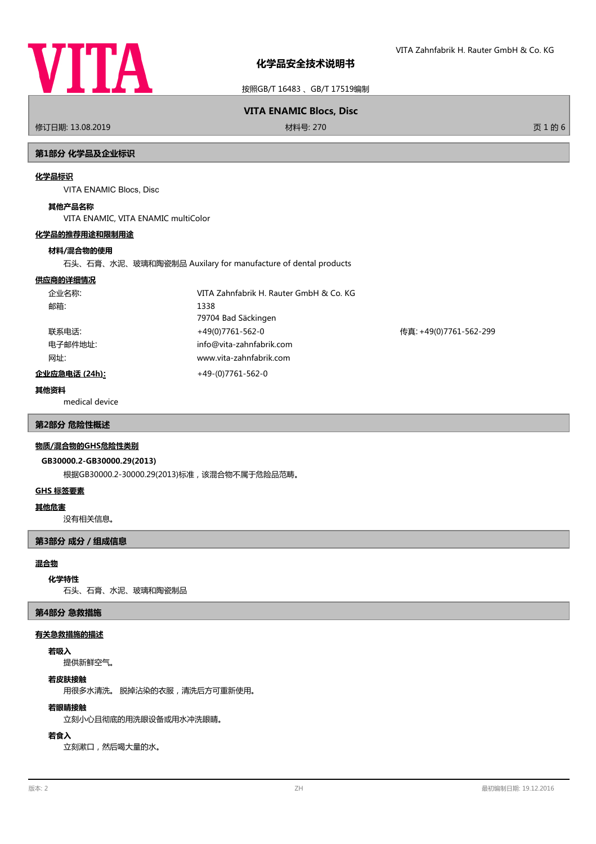

按照GB/T 16483 、GB/T 17519编制

# **VITA ENAMIC Blocs, Disc**

修订日期: 13.08.2019 材料号: 270 页 1 的 6

# **第1部分 化学品及企业标识**

# **化学品标识**

VITA ENAMIC Blocs, Disc

# **其他产品名称**

VITA ENAMIC, VITA ENAMIC multiColor

# **化学品的推荐用途和限制用途**

# **材料/混合物的使用**

石头、石膏、水泥、玻璃和陶瓷制品 Auxilary for manufacture of dental products

# **供应商的详细情况**

| 企业名称:                 | VITA Zahnfabrik H. Rauter GmbH & Co. KG |                        |
|-----------------------|-----------------------------------------|------------------------|
| 邮箱:                   | 1338                                    |                        |
|                       | 79704 Bad Säckingen                     |                        |
| 联系电话:                 | +49(0)7761-562-0                        | 传真: +49(0)7761-562-299 |
| 电子邮件地址:               | info@vita-zahnfabrik.com                |                        |
| 网址:                   | www.vita-zahnfabrik.com                 |                        |
| <u> 企业应急电话 (24h):</u> | $+49-(0)7761-562-0$                     |                        |

# **其他资料**

medical device

#### **第2部分 危险性概述**

#### **物质/混合物的GHS危险性类别**

#### **GB30000.2-GB30000.29(2013)**

根据GB30000.2-30000.29(2013)标准,该混合物不属于危险品范畴。

## **GHS 标签要素**

#### **其他危害**

没有相关信息。

## **第3部分 成分/组成信息**

# **混合物**

**化学特性**

石头、石膏、水泥、玻璃和陶瓷制品

#### **第4部分 急救措施**

#### **有关急救措施的描述**

#### **若吸入**

提供新鲜空气。

#### **若皮肤接触**

用很多水清洗。 脱掉沾染的衣服,清洗后方可重新使用。

#### **若眼睛接触**

立刻小心且彻底的用洗眼设备或用水冲洗眼睛。

# **若食入**

立刻漱口,然后喝大量的水。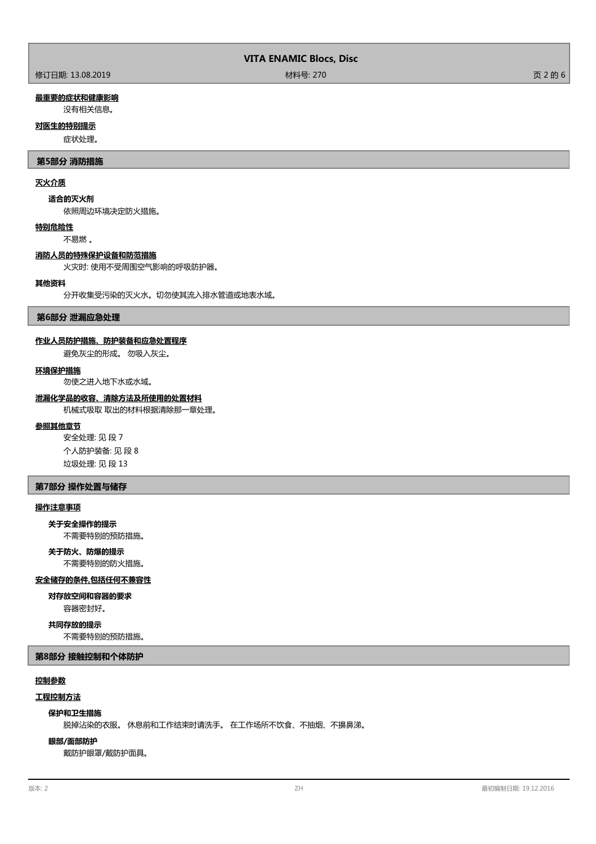# **最重要的症状和健康影响**

没有相关信息。

# **对医生的特别提示**

症状处理。

#### **第5部分 消防措施**

## **灭火介质**

#### **适合的灭火剂**

依照周边环境决定防火措施。

#### **特别危险性**

不易燃 。

#### **消防人员的特殊保护设备和防范措施**

火灾时: 使用不受周围空气影响的呼吸防护器。

#### **其他资料**

分开收集受污染的灭火水。切勿使其流入排水管道或地表水域。

#### **第6部分 泄漏应急处理**

#### **作业人员防护措施、防护装备和应急处置程序**

避免灰尘的形成。 勿吸入灰尘。

#### **环境保护措施**

勿使之进入地下水或水域。

#### **泄漏化学品的收容、清除方法及所使用的处置材料**

机械式吸取 取出的材料根据清除那一章处理。

#### **参照其他章节**

安全处理: 见 段 7 个人防护装备: 见 段 8 垃圾处理: 见 段 13

#### **第7部分 操作处置与储存**

#### **操作注意事项**

# **关于安全操作的提示**

不需要特别的预防措施。

# **关于防火、防爆的提示**

不需要特别的防火措施。

## **安全储存的条件,包括任何不兼容性**

容器密封好。 **对存放空间和容器的要求**

**共同存放的提示**

# 不需要特别的预防措施。

# **第8部分 接触控制和个体防护**

#### **控制参数**

# **工程控制方法**

#### **保护和卫生措施**

脱掉沾染的衣服。 休息前和工作结束时请洗手。 在工作场所不饮食、不抽烟、不擤鼻涕。

#### **眼部/面部防护**

戴防护眼罩/戴防护面具。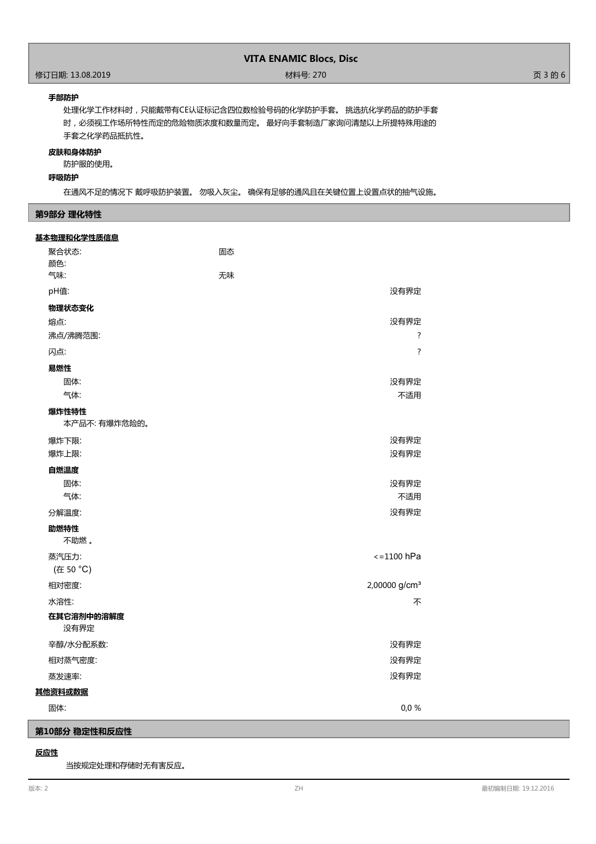# **VITA ENAMIC Blocs, Disc**

#### **手部防护**

处理化学工作材料时,只能戴带有CE认证标记含四位数检验号码的化学防护手套。 挑选抗化学药品的防护手套 时,必须视工作场所特性而定的危险物质浓度和数量而定。 最好向手套制造厂家询问清楚以上所提特殊用途的 手套之化学药品抵抗性。

#### **皮肤和身体防护**

防护服的使用。

#### **呼吸防护**

在通风不足的情况下 戴呼吸防护装置。 勿吸入灰尘。 确保有足够的通风且在关键位置上设置点状的抽气设施。

## **第9部分 理化特性**

| <u>基本物理和化学性质信息</u> |                           |
|--------------------|---------------------------|
| 聚合状态:              | 固态                        |
| 颜色:<br>气味:         |                           |
|                    | 无味                        |
| pH值:               | 没有界定                      |
| 物理状态变化             |                           |
| 熔点:                | 没有界定                      |
| 沸点/沸腾范围:           | $\overline{\cdot}$        |
| 闪点:                | $\overline{?}$            |
| 易燃性                |                           |
| 固体:                | 没有界定                      |
| 气体:                | 不适用                       |
| 爆炸性特性              |                           |
| 本产品不:有爆炸危险的。       |                           |
| 爆炸下限:              | 没有界定                      |
| 爆炸上限:              | 没有界定                      |
| 自燃温度               |                           |
| 固体:                | 没有界定                      |
| 气体:                | 不适用                       |
| 分解温度:              | 没有界定                      |
| 助燃特性<br>不助燃。       |                           |
| 蒸汽压力:              | $\le$ =1100 hPa           |
| (在 50 °C)          |                           |
| 相对密度:              | 2,00000 g/cm <sup>3</sup> |
| 水溶性:               | 不                         |
| 在其它溶剂中的溶解度<br>没有界定 |                           |
| 辛醇/水分配系数:          | 没有界定                      |
| 相对蒸气密度:            | 没有界定                      |
| 蒸发速率:              | 没有界定                      |
| 其他资料或数据            |                           |
| 固体:                | 0,0%                      |
| 第10部分 稳定性和反应性      |                           |

## **反应性**

当按规定处理和存储时无有害反应。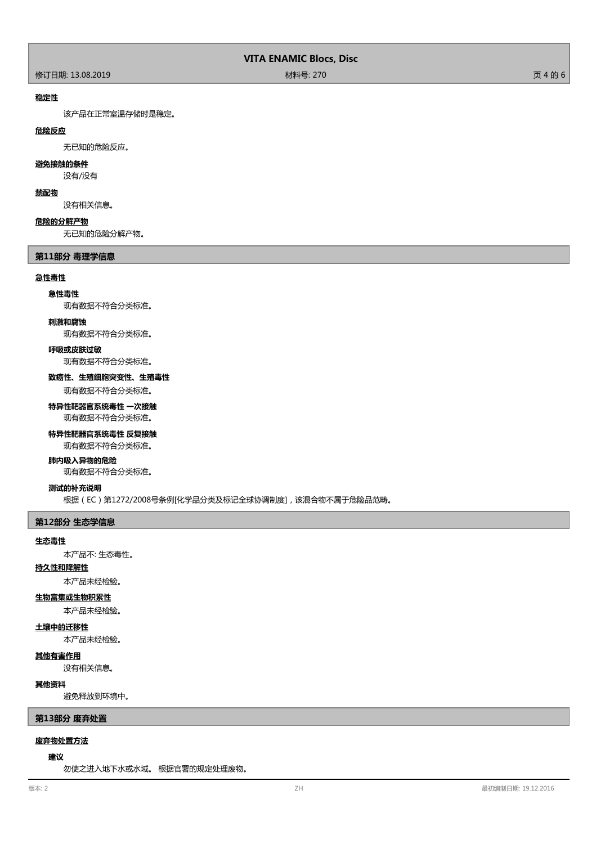#### **稳定性**

该产品在正常室温存储时是稳定。

# **危险反应**

无已知的危险反应。

# **避免接触的条件**

没有/没有

#### **禁配物**

没有相关信息。

#### **危险的分解产物**

无已知的危险分解产物。

## **第11部分 毒理学信息**

#### **急性毒性**

#### **急性毒性**

现有数据不符合分类标准。

#### **刺激和腐蚀**

现有数据不符合分类标准。

#### **呼吸或皮肤过敏**

现有数据不符合分类标准。

#### **致癌性、生殖细胞突变性、生殖毒性**

现有数据不符合分类标准。

# **特异性靶器官系统毒性 一次接触**

现有数据不符合分类标准。

## **特异性靶器官系统毒性 反复接触**

现有数据不符合分类标准。

#### **肺内吸入异物的危险**

现有数据不符合分类标准。

# **测试的补充说明**

根据(EC)第1272/2008号条例[化学品分类及标记全球协调制度],该混合物不属于危险品范畴。

## **第12部分 生态学信息**

#### **生态毒性**

本产品不: 生态毒性。

# **持久性和降解性**

本产品未经检验。

# **生物富集或生物积累性**

本产品未经检验。

#### **土壤中的迁移性**

本产品未经检验。

#### **其他有害作用**

没有相关信息。

#### **其他资料**

避免释放到环境中。

#### **第13部分 废弃处置**

# **废弃物处置方法**

#### **建议**

勿使之进入地下水或水域。 根据官署的规定处理废物。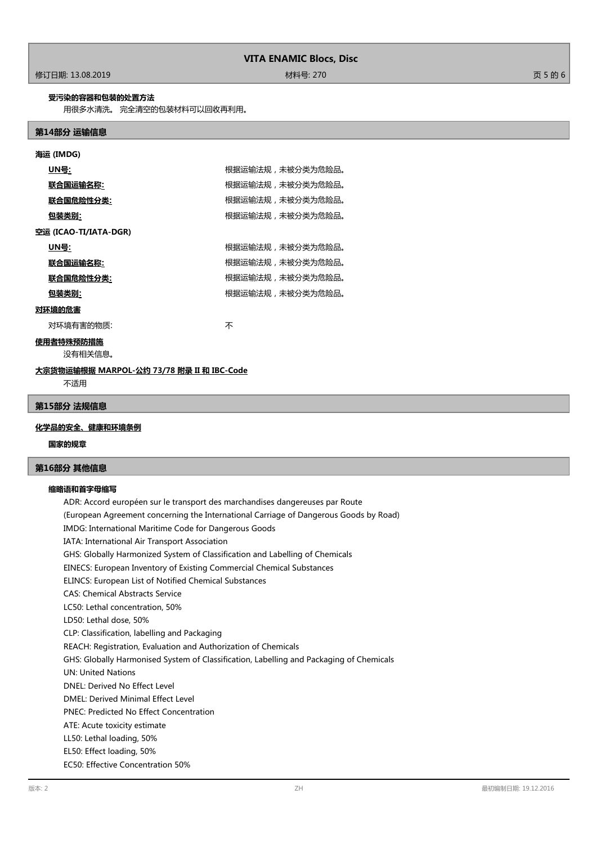# 修订日期: 13.08.2019 材料号: 270 页 5 的 6

#### **受污染的容器和包装的处置方法**

用很多水清洗。 完全清空的包装材料可以回收再利用。

#### **第14部分 运输信息**

| 海运 (IMDG)             |                  |  |
|-----------------------|------------------|--|
| UN号:                  | 根据运输法规,未被分类为危险品。 |  |
| <u> 联合国运输名称:</u>      | 根据运输法规,未被分类为危险品。 |  |
| 联合国危险性分类:             | 根据运输法规,未被分类为危险品。 |  |
| 包装类别:                 | 根据运输法规,未被分类为危险品。 |  |
| 空运 (ICAO-TI/IATA-DGR) |                  |  |
| UN号:                  | 根据运输法规,未被分类为危险品。 |  |
| 联合国运输名称:              | 根据运输法规,未被分类为危险品。 |  |
| 联合国危险性分类:             | 根据运输法规,未被分类为危险品。 |  |
| 包装类别:                 | 根据运输法规,未被分类为危险品。 |  |
| ユーマー・ホーム ハーナー         |                  |  |

# **对环境的危害**

对环境有害的物质: カランド インファイル かいしゃ 不

# **使用者特殊预防措施**

没有相关信息。

#### **大宗货物运输根据 MARPOL-公约 73/78 附录 II 和 IBC-Code**

不适用

#### **第15部分 法规信息**

## **化学品的安全、健康和环境条例**

#### **国家的规章**

# **第16部分 其他信息**

#### **缩略语和首字母缩写**

ADR: Accord européen sur le transport des marchandises dangereuses par Route (European Agreement concerning the International Carriage of Dangerous Goods by Road) IMDG: International Maritime Code for Dangerous Goods IATA: International Air Transport Association GHS: Globally Harmonized System of Classification and Labelling of Chemicals EINECS: European Inventory of Existing Commercial Chemical Substances ELINCS: European List of Notified Chemical Substances CAS: Chemical Abstracts Service LC50: Lethal concentration, 50% LD50: Lethal dose, 50% CLP: Classification, labelling and Packaging REACH: Registration, Evaluation and Authorization of Chemicals GHS: Globally Harmonised System of Classification, Labelling and Packaging of Chemicals UN: United Nations DNEL: Derived No Effect Level DMEL: Derived Minimal Effect Level PNEC: Predicted No Effect Concentration ATE: Acute toxicity estimate LL50: Lethal loading, 50% EL50: Effect loading, 50% EC50: Effective Concentration 50%